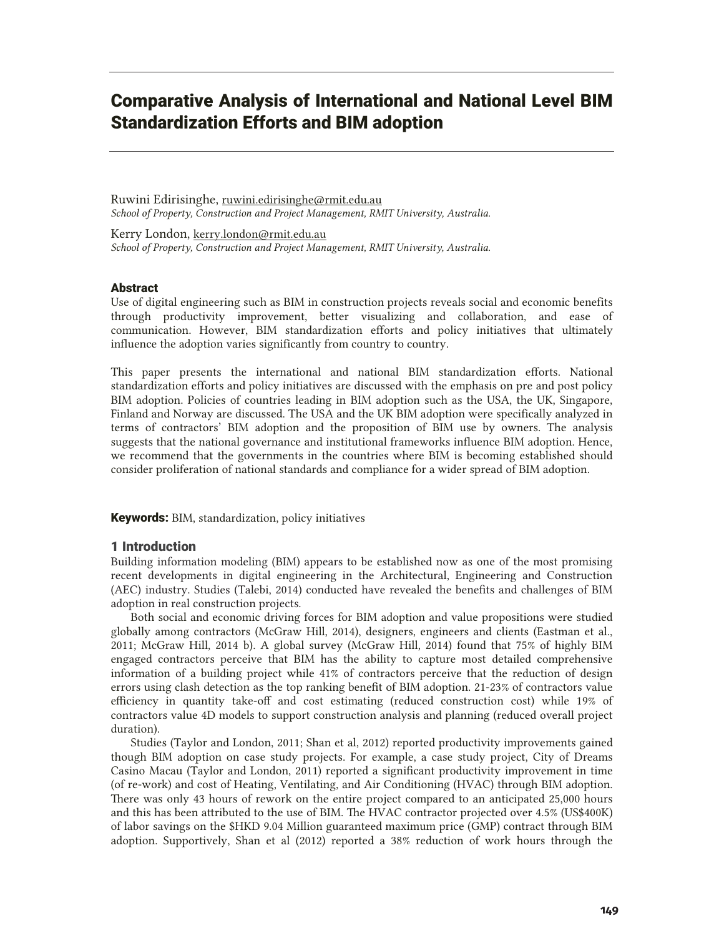# Comparative Analysis of International and National Level BIM Standardization Efforts and BIM adoption

Ruwini Edirisinghe, ruwini.edirisinghe@rmit.edu.au *School of Property, Construction and Project Management, RMIT University, Australia.* 

Kerry London, kerry.london@rmit.edu.au *School of Property, Construction and Project Management, RMIT University, Australia.* 

### Abstract

Use of digital engineering such as BIM in construction projects reveals social and economic benefits through productivity improvement, better visualizing and collaboration, and ease of communication. However, BIM standardization efforts and policy initiatives that ultimately influence the adoption varies significantly from country to country.

This paper presents the international and national BIM standardization efforts. National standardization efforts and policy initiatives are discussed with the emphasis on pre and post policy BIM adoption. Policies of countries leading in BIM adoption such as the USA, the UK, Singapore, Finland and Norway are discussed. The USA and the UK BIM adoption were specifically analyzed in terms of contractors' BIM adoption and the proposition of BIM use by owners. The analysis suggests that the national governance and institutional frameworks influence BIM adoption. Hence, we recommend that the governments in the countries where BIM is becoming established should consider proliferation of national standards and compliance for a wider spread of BIM adoption.

**Keywords:** BIM, standardization, policy initiatives

### 1 Introduction

Building information modeling (BIM) appears to be established now as one of the most promising recent developments in digital engineering in the Architectural, Engineering and Construction (AEC) industry. Studies (Talebi, 2014) conducted have revealed the benefits and challenges of BIM adoption in real construction projects.

Both social and economic driving forces for BIM adoption and value propositions were studied globally among contractors (McGraw Hill, 2014), designers, engineers and clients (Eastman et al., 2011; McGraw Hill, 2014 b). A global survey (McGraw Hill, 2014) found that 75% of highly BIM engaged contractors perceive that BIM has the ability to capture most detailed comprehensive information of a building project while 41% of contractors perceive that the reduction of design errors using clash detection as the top ranking benefit of BIM adoption. 21-23% of contractors value efficiency in quantity take-off and cost estimating (reduced construction cost) while 19% of contractors value 4D models to support construction analysis and planning (reduced overall project duration).

Studies (Taylor and London, 2011; Shan et al, 2012) reported productivity improvements gained though BIM adoption on case study projects. For example, a case study project, City of Dreams Casino Macau (Taylor and London, 2011) reported a significant productivity improvement in time (of re-work) and cost of Heating, Ventilating, and Air Conditioning (HVAC) through BIM adoption. There was only 43 hours of rework on the entire project compared to an anticipated 25,000 hours and this has been attributed to the use of BIM. The HVAC contractor projected over 4.5% (US\$400K) of labor savings on the \$HKD 9.04 Million guaranteed maximum price (GMP) contract through BIM adoption. Supportively, Shan et al (2012) reported a 38% reduction of work hours through the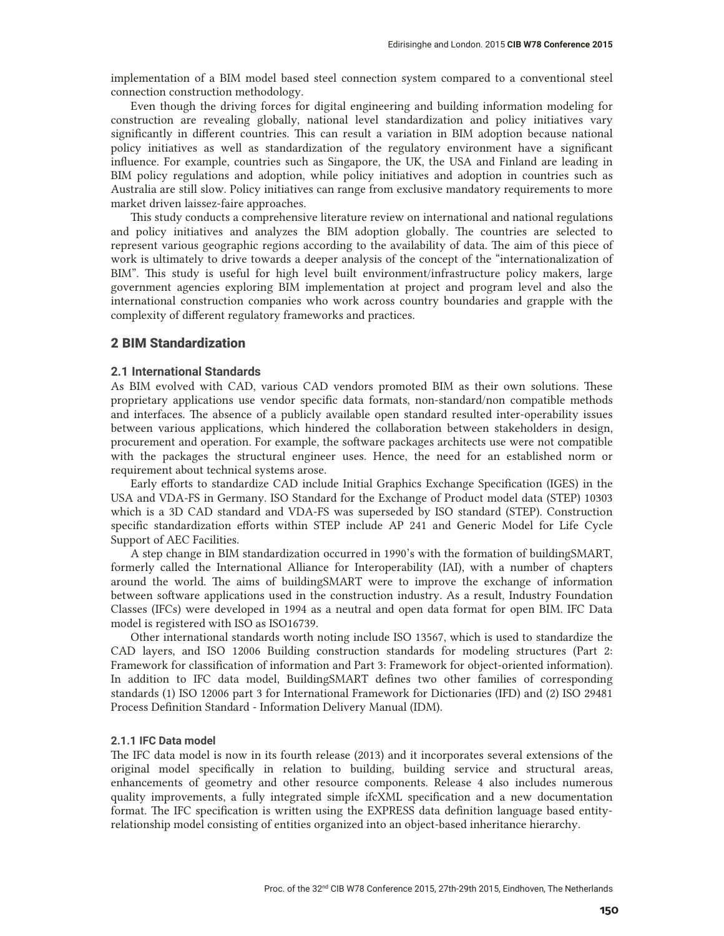implementation of a BIM model based steel connection system compared to a conventional steel connection construction methodology.

Even though the driving forces for digital engineering and building information modeling for construction are revealing globally, national level standardization and policy initiatives vary significantly in different countries. This can result a variation in BIM adoption because national policy initiatives as well as standardization of the regulatory environment have a significant influence. For example, countries such as Singapore, the UK, the USA and Finland are leading in BIM policy regulations and adoption, while policy initiatives and adoption in countries such as Australia are still slow. Policy initiatives can range from exclusive mandatory requirements to more market driven laissez-faire approaches.

This study conducts a comprehensive literature review on international and national regulations and policy initiatives and analyzes the BIM adoption globally. The countries are selected to represent various geographic regions according to the availability of data. The aim of this piece of work is ultimately to drive towards a deeper analysis of the concept of the "internationalization of BIM". This study is useful for high level built environment/infrastructure policy makers, large government agencies exploring BIM implementation at project and program level and also the international construction companies who work across country boundaries and grapple with the complexity of different regulatory frameworks and practices.

### 2 BIM Standardization

### **2.1 International Standards**

As BIM evolved with CAD, various CAD vendors promoted BIM as their own solutions. These proprietary applications use vendor specific data formats, non-standard/non compatible methods and interfaces. The absence of a publicly available open standard resulted inter-operability issues between various applications, which hindered the collaboration between stakeholders in design, procurement and operation. For example, the software packages architects use were not compatible with the packages the structural engineer uses. Hence, the need for an established norm or requirement about technical systems arose.

Early efforts to standardize CAD include Initial Graphics Exchange Specification (IGES) in the USA and VDA-FS in Germany. ISO Standard for the Exchange of Product model data (STEP) 10303 which is a 3D CAD standard and VDA-FS was superseded by ISO standard (STEP). Construction specific standardization efforts within STEP include AP 241 and Generic Model for Life Cycle Support of AEC Facilities.

A step change in BIM standardization occurred in 1990's with the formation of buildingSMART, formerly called the International Alliance for Interoperability (IAI), with a number of chapters around the world. The aims of buildingSMART were to improve the exchange of information between software applications used in the construction industry. As a result, Industry Foundation Classes (IFCs) were developed in 1994 as a neutral and open data format for open BIM. IFC Data model is registered with ISO as ISO16739.

Other international standards worth noting include ISO 13567, which is used to standardize the CAD layers, and ISO 12006 Building construction standards for modeling structures (Part 2: Framework for classification of information and Part 3: Framework for object-oriented information). In addition to IFC data model, BuildingSMART defines two other families of corresponding standards (1) ISO 12006 part 3 for International Framework for Dictionaries (IFD) and (2) ISO 29481 Process Definition Standard - Information Delivery Manual (IDM).

### **2.1.1 IFC Data model**

The IFC data model is now in its fourth release (2013) and it incorporates several extensions of the original model specifically in relation to building, building service and structural areas, enhancements of geometry and other resource components. Release 4 also includes numerous quality improvements, a fully integrated simple ifcXML specification and a new documentation format. The IFC specification is written using the EXPRESS data definition language based entityrelationship model consisting of entities organized into an object-based inheritance hierarchy.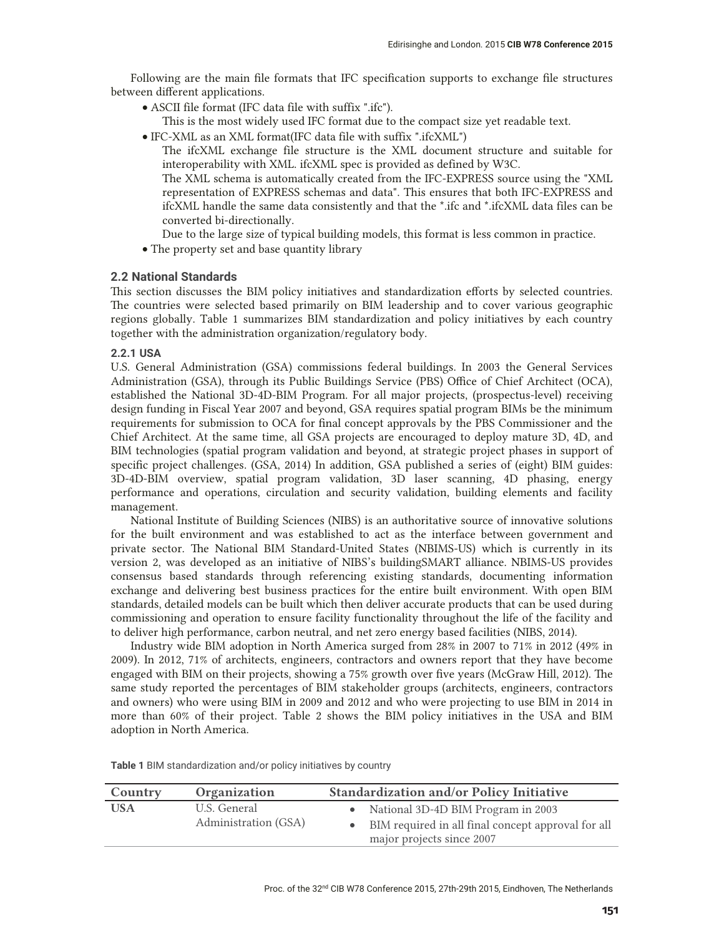Following are the main file formats that IFC specification supports to exchange file structures between different applications.

- x ASCII file format (IFC data file with suffix ".ifc"). This is the most widely used IFC format due to the compact size yet readable text.
- x IFC-XML as an XML format(IFC data file with suffix ".ifcXML")
	- The ifcXML exchange file structure is the XML document structure and suitable for interoperability with XML. ifcXML spec is provided as defined by W3C.

The XML schema is automatically created from the IFC-EXPRESS source using the "XML representation of EXPRESS schemas and data". This ensures that both IFC-EXPRESS and ifcXML handle the same data consistently and that the \*.ifc and \*.ifcXML data files can be converted bi-directionally.

- Due to the large size of typical building models, this format is less common in practice.
- The property set and base quantity library

### **2.2 National Standards**

This section discusses the BIM policy initiatives and standardization efforts by selected countries. The countries were selected based primarily on BIM leadership and to cover various geographic regions globally. Table 1 summarizes BIM standardization and policy initiatives by each country together with the administration organization/regulatory body.

### **2.2.1 USA**

U.S. General Administration (GSA) commissions federal buildings. In 2003 the General Services Administration (GSA), through its Public Buildings Service (PBS) Office of Chief Architect (OCA), established the National 3D-4D-BIM Program. For all major projects, (prospectus-level) receiving design funding in Fiscal Year 2007 and beyond, GSA requires spatial program BIMs be the minimum requirements for submission to OCA for final concept approvals by the PBS Commissioner and the Chief Architect. At the same time, all GSA projects are encouraged to deploy mature 3D, 4D, and BIM technologies (spatial program validation and beyond, at strategic project phases in support of specific project challenges. (GSA, 2014) In addition, GSA published a series of (eight) BIM guides: 3D-4D-BIM overview, spatial program validation, 3D laser scanning, 4D phasing, energy performance and operations, circulation and security validation, building elements and facility management.

National Institute of Building Sciences (NIBS) is an authoritative source of innovative solutions for the built environment and was established to act as the interface between government and private sector. The National BIM Standard-United States (NBIMS-US) which is currently in its version 2, was developed as an initiative of NIBS's buildingSMART alliance. NBIMS-US provides consensus based standards through referencing existing standards, documenting information exchange and delivering best business practices for the entire built environment. With open BIM standards, detailed models can be built which then deliver accurate products that can be used during commissioning and operation to ensure facility functionality throughout the life of the facility and to deliver high performance, carbon neutral, and net zero energy based facilities (NIBS, 2014).

Industry wide BIM adoption in North America surged from 28% in 2007 to 71% in 2012 (49% in 2009). In 2012, 71% of architects, engineers, contractors and owners report that they have become engaged with BIM on their projects, showing a 75% growth over five years (McGraw Hill, 2012). The same study reported the percentages of BIM stakeholder groups (architects, engineers, contractors and owners) who were using BIM in 2009 and 2012 and who were projecting to use BIM in 2014 in more than 60% of their project. Table 2 shows the BIM policy initiatives in the USA and BIM adoption in North America.

| Country    | Organization                         | <b>Standardization and/or Policy Initiative</b>                                                                           |  |
|------------|--------------------------------------|---------------------------------------------------------------------------------------------------------------------------|--|
| <b>USA</b> | U.S. General<br>Administration (GSA) | • National 3D-4D BIM Program in 2003<br>• BIM required in all final concept approval for all<br>major projects since 2007 |  |

**Table 1** BIM standardization and/or policy initiatives by country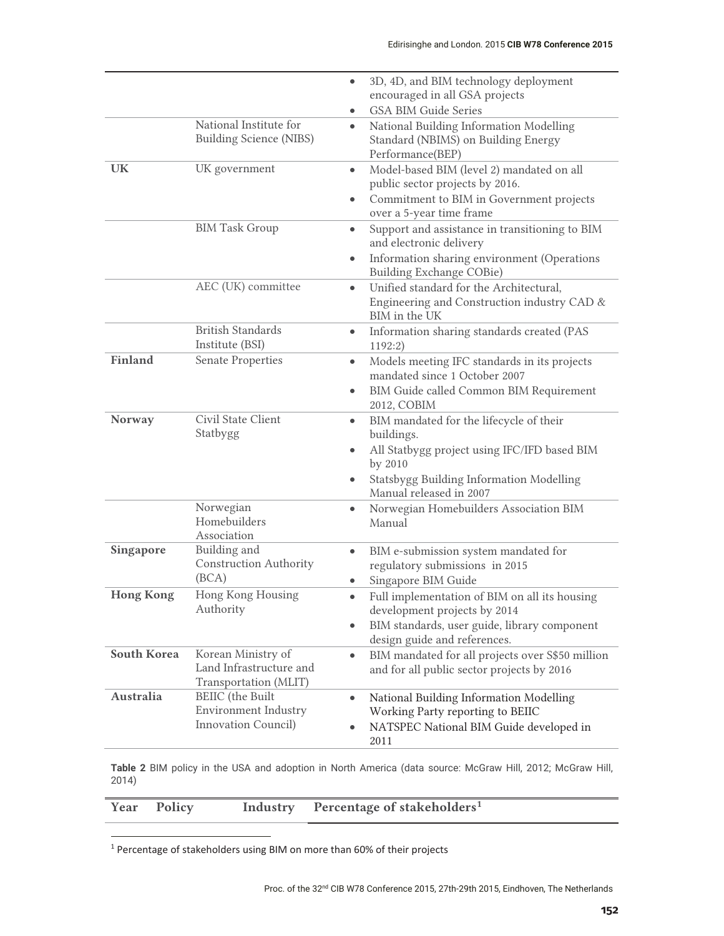|                    |                                                    | 3D, 4D, and BIM technology deployment<br>$\bullet$            |
|--------------------|----------------------------------------------------|---------------------------------------------------------------|
|                    |                                                    | encouraged in all GSA projects                                |
|                    |                                                    | <b>GSA BIM Guide Series</b><br>$\bullet$                      |
|                    | National Institute for                             | National Building Information Modelling<br>$\bullet$          |
|                    | <b>Building Science (NIBS)</b>                     | Standard (NBIMS) on Building Energy                           |
|                    |                                                    | Performance(BEP)                                              |
| <b>UK</b>          | UK government                                      | Model-based BIM (level 2) mandated on all<br>$\bullet$        |
|                    |                                                    | public sector projects by 2016.                               |
|                    |                                                    | Commitment to BIM in Government projects<br>$\bullet$         |
|                    |                                                    | over a 5-year time frame                                      |
|                    | <b>BIM Task Group</b>                              | Support and assistance in transitioning to BIM<br>$\bullet$   |
|                    |                                                    | and electronic delivery                                       |
|                    |                                                    | Information sharing environment (Operations<br>$\bullet$      |
|                    |                                                    | <b>Building Exchange COBie)</b>                               |
|                    | AEC (UK) committee                                 | Unified standard for the Architectural,<br>$\bullet$          |
|                    |                                                    | Engineering and Construction industry CAD &                   |
|                    |                                                    | BIM in the UK                                                 |
|                    | <b>British Standards</b>                           | Information sharing standards created (PAS<br>$\bullet$       |
|                    | Institute (BSI)                                    | 1192:2)                                                       |
| <b>Finland</b>     | <b>Senate Properties</b>                           | Models meeting IFC standards in its projects<br>$\bullet$     |
|                    |                                                    | mandated since 1 October 2007                                 |
|                    |                                                    | BIM Guide called Common BIM Requirement<br>$\bullet$          |
|                    |                                                    | 2012, COBIM                                                   |
| Norway             | Civil State Client                                 | BIM mandated for the lifecycle of their<br>$\bullet$          |
|                    | Statbygg                                           | buildings.                                                    |
|                    |                                                    | All Statbygg project using IFC/IFD based BIM<br>$\bullet$     |
|                    |                                                    | by 2010                                                       |
|                    |                                                    | Statsbygg Building Information Modelling                      |
|                    |                                                    | Manual released in 2007                                       |
|                    | Norwegian                                          |                                                               |
|                    | Homebuilders                                       | Norwegian Homebuilders Association BIM<br>$\bullet$<br>Manual |
|                    | Association                                        |                                                               |
| Singapore          | Building and                                       | BIM e-submission system mandated for<br>$\bullet$             |
|                    | <b>Construction Authority</b>                      | regulatory submissions in 2015                                |
|                    | (BCA)                                              | Singapore BIM Guide                                           |
|                    |                                                    | ۰                                                             |
| <b>Hong Kong</b>   | Hong Kong Housing<br>Authority                     | Full implementation of BIM on all its housing<br>$\bullet$    |
|                    |                                                    | development projects by 2014                                  |
|                    |                                                    | BIM standards, user guide, library component<br>$\bullet$     |
| <b>South Korea</b> |                                                    | design guide and references.                                  |
|                    | Korean Ministry of                                 | BIM mandated for all projects over S\$50 million<br>$\bullet$ |
|                    | Land Infrastructure and                            | and for all public sector projects by 2016                    |
| Australia          | Transportation (MLIT)                              |                                                               |
|                    | <b>BEIIC</b> (the Built                            | National Building Information Modelling<br>$\bullet$          |
|                    | <b>Environment Industry</b><br>Innovation Council) | Working Party reporting to BEIIC                              |
|                    |                                                    |                                                               |
|                    |                                                    | NATSPEC National BIM Guide developed in<br>2011               |

**Table 2** BIM policy in the USA and adoption in North America (data source: McGraw Hill, 2012; McGraw Hill, 2014)

|  | Year Policy |  | Industry Percentage of stakeholders <sup>1</sup> |  |
|--|-------------|--|--------------------------------------------------|--|
|--|-------------|--|--------------------------------------------------|--|

<sup>1</sup> Percentage of stakeholders using BIM on more than 60% of their projects

-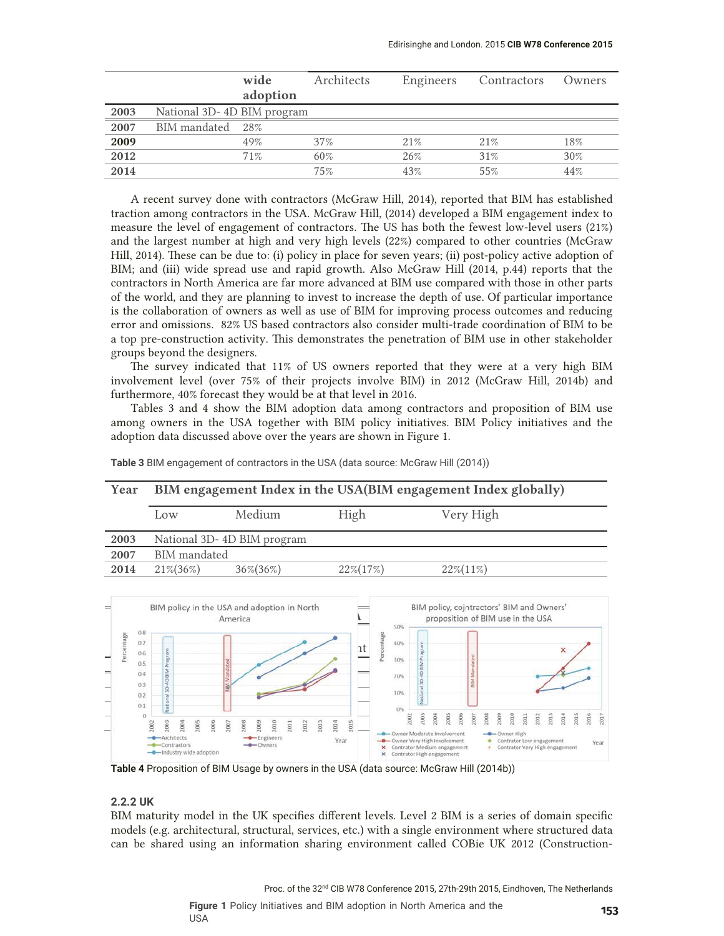|      |                            | wide<br>adoption | Architects | Engineers | Contractors | Owners |
|------|----------------------------|------------------|------------|-----------|-------------|--------|
|      |                            |                  |            |           |             |        |
| 2003 | National 3D-4D BIM program |                  |            |           |             |        |
| 2007 | BIM mandated               | 28%              |            |           |             |        |
| 2009 |                            | 49%              | 37%        | 21%       | 21%         | 18%    |
| 2012 |                            | 71%              | 60%        | 26%       | 31%         | 30%    |
| 2014 |                            |                  | 75%        | 43%       | 55%         | 44%    |

A recent survey done with contractors (McGraw Hill, 2014), reported that BIM has established traction among contractors in the USA. McGraw Hill, (2014) developed a BIM engagement index to measure the level of engagement of contractors. The US has both the fewest low-level users (21%) and the largest number at high and very high levels (22%) compared to other countries (McGraw Hill, 2014). These can be due to: (i) policy in place for seven years; (ii) post-policy active adoption of BIM; and (iii) wide spread use and rapid growth. Also McGraw Hill (2014, p.44) reports that the contractors in North America are far more advanced at BIM use compared with those in other parts of the world, and they are planning to invest to increase the depth of use. Of particular importance is the collaboration of owners as well as use of BIM for improving process outcomes and reducing error and omissions. 82% US based contractors also consider multi-trade coordination of BIM to be a top pre-construction activity. This demonstrates the penetration of BIM use in other stakeholder groups beyond the designers.

The survey indicated that 11% of US owners reported that they were at a very high BIM involvement level (over 75% of their projects involve BIM) in 2012 (McGraw Hill, 2014b) and furthermore, 40% forecast they would be at that level in 2016.

 Tables 3 and 4 show the BIM adoption data among contractors and proposition of BIM use among owners in the USA together with BIM policy initiatives. BIM Policy initiatives and the adoption data discussed above over the years are shown in Figure 1.



**Table 3** BIM engagement of contractors in the USA (data source: McGraw Hill (2014))

#### $\begin{array}{c} 0.3 \end{array}$  **2007 B**<sub> $\frac{1}{2}$ </sub>  $20.2 \frac{m}{2}$  **2013 2014** 21% 13% 25% 2008 2009 2010 2011 2012 2013 2014 2015 2016  $\overline{5}$ **2016** 25% 19% 40% er High - Architects -Engineers Year - Owner Very High Involvement Contrator Low engag Year -Contract  $\times x$ Contrator Medium engagemen Contrator Very High engagement -Industry wide Contrator High engage

**Table 4** Proposition of BIM Usage by owners in the USA (data source: McGraw Hill (2014b))

### **2.2.2 UK**

BIM maturity model in the UK specifies different levels. Level 2 BIM is a series of domain specific models (e.g. architectural, structural, services, etc.) with a single environment where structured data can be shared using an information sharing environment called COBie UK 2012 (Construction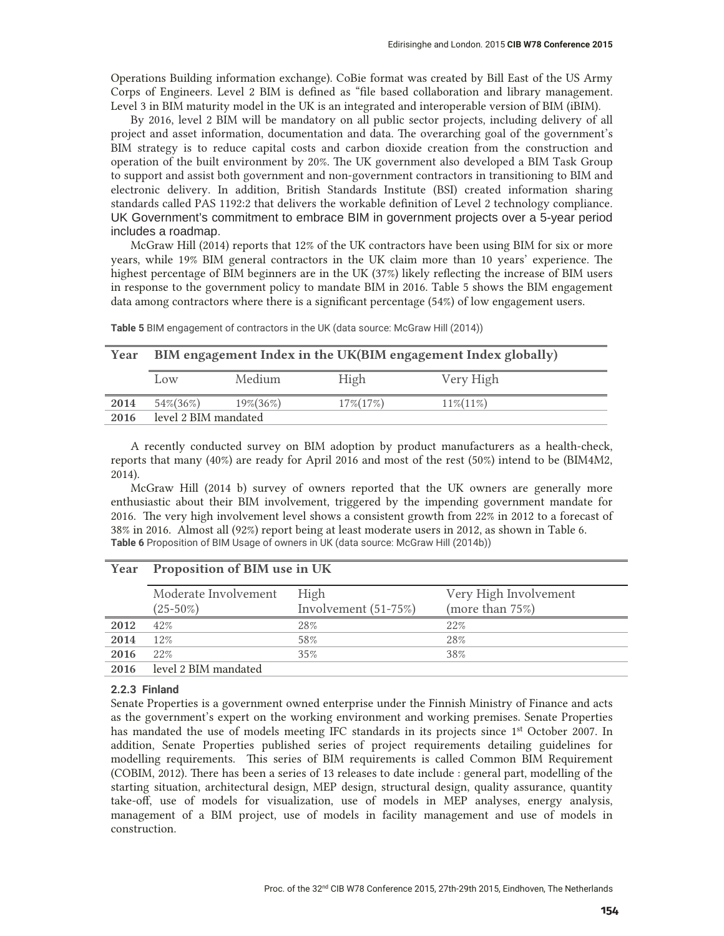Operations Building information exchange). CoBie format was created by Bill East of the US Army Corps of Engineers. Level 2 BIM is defined as "file based collaboration and library management. Level 3 in BIM maturity model in the UK is an integrated and interoperable version of BIM (iBIM).

By 2016, level 2 BIM will be mandatory on all public sector projects, including delivery of all project and asset information, documentation and data. The overarching goal of the government's BIM strategy is to reduce capital costs and carbon dioxide creation from the construction and operation of the built environment by 20%. The UK government also developed a BIM Task Group to support and assist both government and non-government contractors in transitioning to BIM and electronic delivery. In addition, British Standards Institute (BSI) created information sharing standards called PAS 1192:2 that delivers the workable definition of Level 2 technology compliance. UK Government's commitment to embrace BIM in government projects over a 5-year period includes a roadmap.

McGraw Hill (2014) reports that 12% of the UK contractors have been using BIM for six or more years, while 19% BIM general contractors in the UK claim more than 10 years' experience. The highest percentage of BIM beginners are in the UK (37%) likely reflecting the increase of BIM users in response to the government policy to mandate BIM in 2016. Table 5 shows the BIM engagement data among contractors where there is a significant percentage (54%) of low engagement users.

| Year | BIM engagement Index in the UK(BIM engagement Index globally) |               |               |               |  |
|------|---------------------------------------------------------------|---------------|---------------|---------------|--|
|      | Low                                                           | Medium        | High          | Very High     |  |
| 2014 | 54%(36%)                                                      | $19\% (36\%)$ | $17\% (17\%)$ | $11\% (11\%)$ |  |
| 2016 | level 2 BIM mandated                                          |               |               |               |  |

Table 5 BIM engagement of contractors in the UK (data source: McGraw Hill (2014))

A recently conducted survey on BIM adoption by product manufacturers as a health-check, reports that many (40%) are ready for April 2016 and most of the rest (50%) intend to be (BIM4M2, 2014).

McGraw Hill (2014 b) survey of owners reported that the UK owners are generally more enthusiastic about their BIM involvement, triggered by the impending government mandate for 2016. The very high involvement level shows a consistent growth from 22% in 2012 to a forecast of 38% in 2016. Almost all (92%) report being at least moderate users in 2012, as shown in Table 6. **Table 6** Proposition of BIM Usage of owners in UK (data source: McGraw Hill (2014b))

|      | Moderate Involvement | High                   | Very High Involvement |  |  |
|------|----------------------|------------------------|-----------------------|--|--|
|      | $(25-50\%)$          | Involvement $(51-75%)$ | (more than 75%)       |  |  |
| 2012 | 42%                  | 28%                    | 22%                   |  |  |
| 2014 | 12%                  | 58%                    | 28%                   |  |  |
| 2016 | 22%                  | 35%                    | 38%                   |  |  |
| 2016 | level 2 BIM mandated |                        |                       |  |  |

## **Year Proposition of BIM use in UK**

### **2.2.3 Finland**

Senate Properties is a government owned enterprise under the Finnish Ministry of Finance and acts as the government's expert on the working environment and working premises. Senate Properties has mandated the use of models meeting IFC standards in its projects since 1<sup>st</sup> October 2007. In addition, Senate Properties published series of project requirements detailing guidelines for modelling requirements. This series of BIM requirements is called Common BIM Requirement (COBIM, 2012). There has been a series of 13 releases to date include : general part, modelling of the starting situation, architectural design, MEP design, structural design, quality assurance, quantity take-off, use of models for visualization, use of models in MEP analyses, energy analysis, management of a BIM project, use of models in facility management and use of models in construction.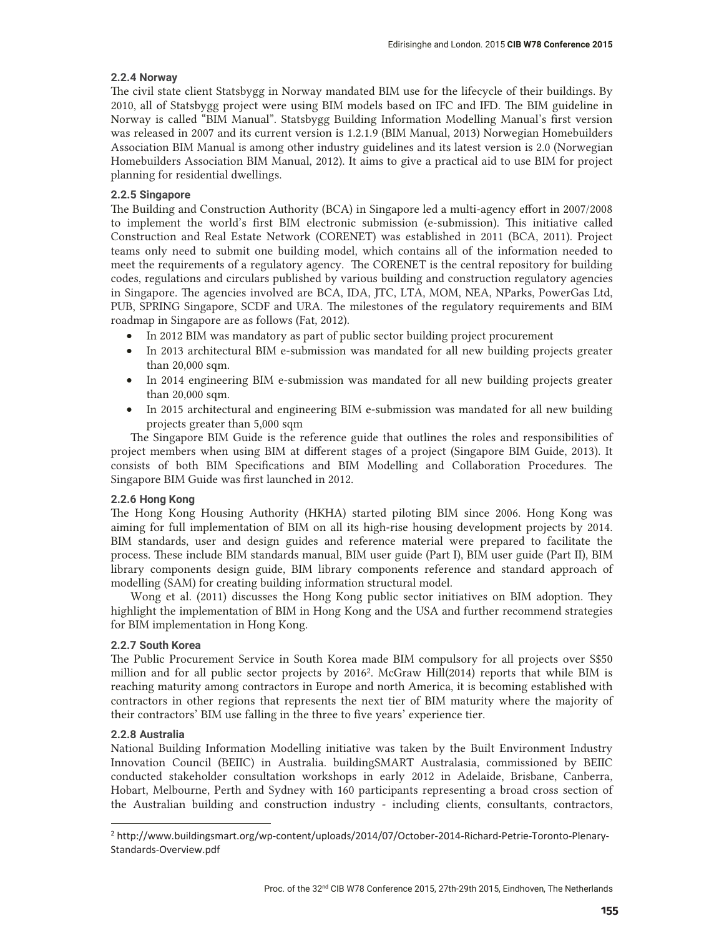### **2.2.4 Norway**

The civil state client Statsbygg in Norway mandated BIM use for the lifecycle of their buildings. By 2010, all of Statsbygg project were using BIM models based on IFC and IFD. The BIM guideline in Norway is called "BIM Manual". Statsbygg Building Information Modelling Manual's first version was released in 2007 and its current version is 1.2.1.9 (BIM Manual, 2013) Norwegian Homebuilders Association BIM Manual is among other industry guidelines and its latest version is 2.0 (Norwegian Homebuilders Association BIM Manual, 2012). It aims to give a practical aid to use BIM for project planning for residential dwellings.

### **2.2.5 Singapore**

The Building and Construction Authority (BCA) in Singapore led a multi-agency effort in 2007/2008 to implement the world's first BIM electronic submission (e-submission). This initiative called Construction and Real Estate Network (CORENET) was established in 2011 (BCA, 2011). Project teams only need to submit one building model, which contains all of the information needed to meet the requirements of a regulatory agency. The CORENET is the central repository for building codes, regulations and circulars published by various building and construction regulatory agencies in Singapore. The agencies involved are BCA, IDA, JTC, LTA, MOM, NEA, NParks, PowerGas Ltd, PUB, SPRING Singapore, SCDF and URA. The milestones of the regulatory requirements and BIM roadmap in Singapore are as follows (Fat, 2012).

- In 2012 BIM was mandatory as part of public sector building project procurement
- In 2013 architectural BIM e-submission was mandated for all new building projects greater than 20,000 sqm.
- In 2014 engineering BIM e-submission was mandated for all new building projects greater than 20,000 sqm.
- In 2015 architectural and engineering BIM e-submission was mandated for all new building projects greater than 5,000 sqm

The Singapore BIM Guide is the reference guide that outlines the roles and responsibilities of project members when using BIM at different stages of a project (Singapore BIM Guide, 2013). It consists of both BIM Specifications and BIM Modelling and Collaboration Procedures. The Singapore BIM Guide was first launched in 2012.

### **2.2.6 Hong Kong**

The Hong Kong Housing Authority (HKHA) started piloting BIM since 2006. Hong Kong was aiming for full implementation of BIM on all its high-rise housing development projects by 2014. BIM standards, user and design guides and reference material were prepared to facilitate the process. These include BIM standards manual, BIM user guide (Part I), BIM user guide (Part II), BIM library components design guide, BIM library components reference and standard approach of modelling (SAM) for creating building information structural model.

Wong et al. (2011) discusses the Hong Kong public sector initiatives on BIM adoption. They highlight the implementation of BIM in Hong Kong and the USA and further recommend strategies for BIM implementation in Hong Kong.

### **2.2.7 South Korea**

The Public Procurement Service in South Korea made BIM compulsory for all projects over S\$50 million and for all public sector projects by 20162. McGraw Hill(2014) reports that while BIM is reaching maturity among contractors in Europe and north America, it is becoming established with contractors in other regions that represents the next tier of BIM maturity where the majority of their contractors' BIM use falling in the three to five years' experience tier.

### **2.2.8 Australia**

-

National Building Information Modelling initiative was taken by the Built Environment Industry Innovation Council (BEIIC) in Australia. buildingSMART Australasia, commissioned by BEIIC conducted stakeholder consultation workshops in early 2012 in Adelaide, Brisbane, Canberra, Hobart, Melbourne, Perth and Sydney with 160 participants representing a broad cross section of the Australian building and construction industry - including clients, consultants, contractors,

<sup>&</sup>lt;sup>2</sup> http://www.buildingsmart.org/wp-content/uploads/2014/07/October-2014-Richard-Petrie-Toronto-Plenary-Standards-Overview.pdf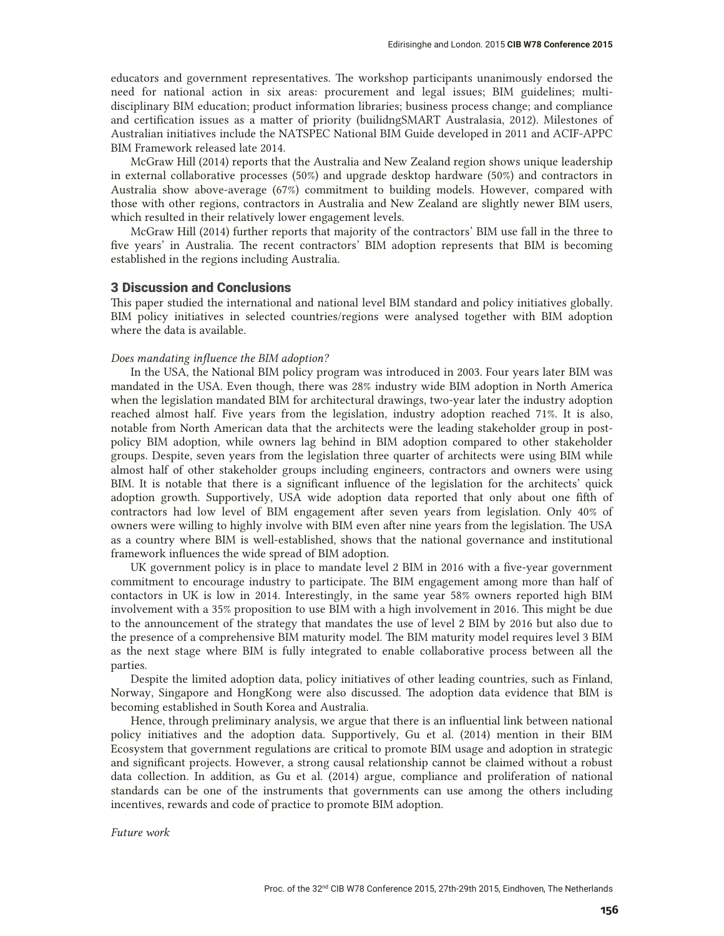educators and government representatives. The workshop participants unanimously endorsed the need for national action in six areas: procurement and legal issues; BIM guidelines; multidisciplinary BIM education; product information libraries; business process change; and compliance and certification issues as a matter of priority (builidngSMART Australasia, 2012). Milestones of Australian initiatives include the NATSPEC National BIM Guide developed in 2011 and ACIF-APPC BIM Framework released late 2014.

McGraw Hill (2014) reports that the Australia and New Zealand region shows unique leadership in external collaborative processes (50%) and upgrade desktop hardware (50%) and contractors in Australia show above-average (67%) commitment to building models. However, compared with those with other regions, contractors in Australia and New Zealand are slightly newer BIM users, which resulted in their relatively lower engagement levels.

McGraw Hill (2014) further reports that majority of the contractors' BIM use fall in the three to five years' in Australia. The recent contractors' BIM adoption represents that BIM is becoming established in the regions including Australia.

### 3 Discussion and Conclusions

This paper studied the international and national level BIM standard and policy initiatives globally. BIM policy initiatives in selected countries/regions were analysed together with BIM adoption where the data is available.

### *Does mandating influence the BIM adoption?*

In the USA, the National BIM policy program was introduced in 2003. Four years later BIM was mandated in the USA. Even though, there was 28% industry wide BIM adoption in North America when the legislation mandated BIM for architectural drawings, two-year later the industry adoption reached almost half. Five years from the legislation, industry adoption reached 71%. It is also, notable from North American data that the architects were the leading stakeholder group in postpolicy BIM adoption, while owners lag behind in BIM adoption compared to other stakeholder groups. Despite, seven years from the legislation three quarter of architects were using BIM while almost half of other stakeholder groups including engineers, contractors and owners were using BIM. It is notable that there is a significant influence of the legislation for the architects' quick adoption growth. Supportively, USA wide adoption data reported that only about one fifth of contractors had low level of BIM engagement after seven years from legislation. Only 40% of owners were willing to highly involve with BIM even after nine years from the legislation. The USA as a country where BIM is well-established, shows that the national governance and institutional framework influences the wide spread of BIM adoption.

UK government policy is in place to mandate level 2 BIM in 2016 with a five-year government commitment to encourage industry to participate. The BIM engagement among more than half of contactors in UK is low in 2014. Interestingly, in the same year 58% owners reported high BIM involvement with a 35% proposition to use BIM with a high involvement in 2016. This might be due to the announcement of the strategy that mandates the use of level 2 BIM by 2016 but also due to the presence of a comprehensive BIM maturity model. The BIM maturity model requires level 3 BIM as the next stage where BIM is fully integrated to enable collaborative process between all the parties.

Despite the limited adoption data, policy initiatives of other leading countries, such as Finland, Norway, Singapore and HongKong were also discussed. The adoption data evidence that BIM is becoming established in South Korea and Australia.

Hence, through preliminary analysis, we argue that there is an influential link between national policy initiatives and the adoption data. Supportively, Gu et al. (2014) mention in their BIM Ecosystem that government regulations are critical to promote BIM usage and adoption in strategic and significant projects. However, a strong causal relationship cannot be claimed without a robust data collection. In addition, as Gu et al. (2014) argue, compliance and proliferation of national standards can be one of the instruments that governments can use among the others including incentives, rewards and code of practice to promote BIM adoption.

*Future work*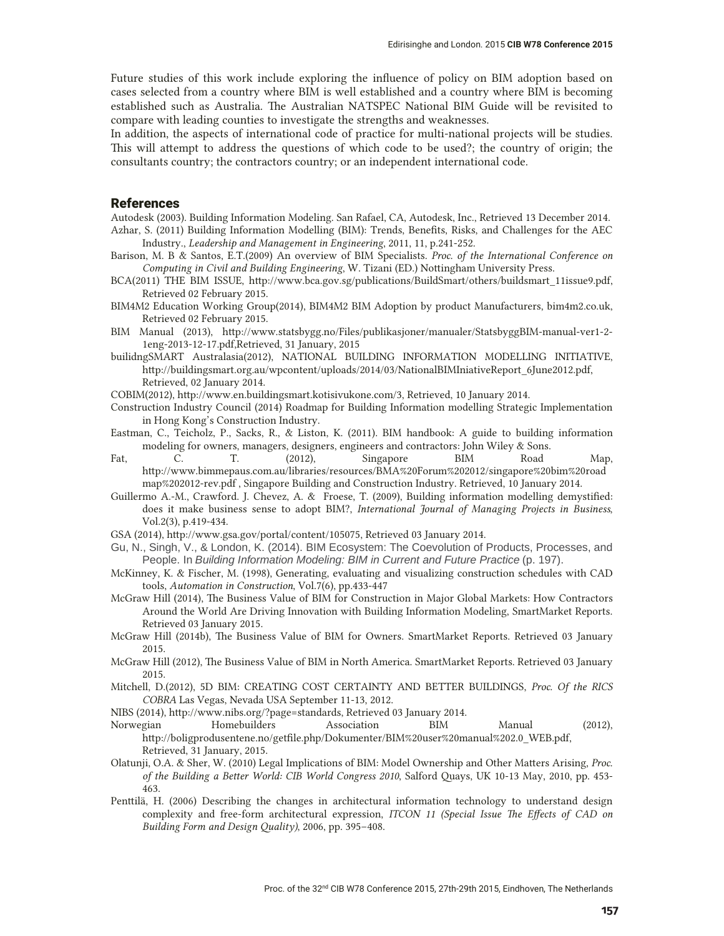Future studies of this work include exploring the influence of policy on BIM adoption based on cases selected from a country where BIM is well established and a country where BIM is becoming established such as Australia. The Australian NATSPEC National BIM Guide will be revisited to compare with leading counties to investigate the strengths and weaknesses.

In addition, the aspects of international code of practice for multi-national projects will be studies. This will attempt to address the questions of which code to be used?; the country of origin; the consultants country; the contractors country; or an independent international code.

### References

Autodesk (2003). Building Information Modeling. San Rafael, CA, Autodesk, Inc., Retrieved 13 December 2014. Azhar, S. (2011) Building Information Modelling (BIM): Trends, Benefits, Risks, and Challenges for the AEC Industry., *Leadership and Management in Engineering*, 2011, 11, p.241-252.

- Barison, M. B & Santos, E.T.(2009) An overview of BIM Specialists. *Proc. of the International Conference on Computing in Civil and Building Engineering*, W. Tizani (ED.) Nottingham University Press.
- BCA(2011) THE BIM ISSUE, http://www.bca.gov.sg/publications/BuildSmart/others/buildsmart\_11issue9.pdf, Retrieved 02 February 2015.
- BIM4M2 Education Working Group(2014), BIM4M2 BIM Adoption by product Manufacturers, bim4m2.co.uk, Retrieved 02 February 2015.
- BIM Manual (2013), http://www.statsbygg.no/Files/publikasjoner/manualer/StatsbyggBIM-manual-ver1-2- 1eng-2013-12-17.pdf,Retrieved, 31 January, 2015
- builidngSMART Australasia(2012), NATIONAL BUILDING INFORMATION MODELLING INITIATIVE, http://buildingsmart.org.au/wpcontent/uploads/2014/03/NationalBIMIniativeReport\_6June2012.pdf, Retrieved, 02 January 2014.
- COBIM(2012), http://www.en.buildingsmart.kotisivukone.com/3, Retrieved, 10 January 2014.
- Construction Industry Council (2014) Roadmap for Building Information modelling Strategic Implementation in Hong Kong's Construction Industry.
- Eastman, C., Teicholz, P., Sacks, R., & Liston, K. (2011). BIM handbook: A guide to building information modeling for owners, managers, designers, engineers and contractors: John Wiley & Sons.
- Fat, C. T. (2012), Singapore BIM Road Map, http://www.bimmepaus.com.au/libraries/resources/BMA%20Forum%202012/singapore%20bim%20road map%202012-rev.pdf , Singapore Building and Construction Industry. Retrieved, 10 January 2014.
- Guillermo A.-M., Crawford. J. Chevez, A. & Froese, T. (2009), Building information modelling demystified: does it make business sense to adopt BIM?, *International Journal of Managing Projects in Business*, Vol.2(3), p.419-434.
- GSA (2014), http://www.gsa.gov/portal/content/105075, Retrieved 03 January 2014.
- Gu, N., Singh, V., & London, K. (2014). BIM Ecosystem: The Coevolution of Products, Processes, and People. In *Building Information Modeling: BIM in Current and Future Practice* (p. 197).
- McKinney, K. & Fischer, M. (1998), Generating, evaluating and visualizing construction schedules with CAD tools, *Automation in Construction*, Vol.7(6), pp.433-447
- McGraw Hill (2014), The Business Value of BIM for Construction in Major Global Markets: How Contractors Around the World Are Driving Innovation with Building Information Modeling, SmartMarket Reports. Retrieved 03 January 2015.
- McGraw Hill (2014b), The Business Value of BIM for Owners. SmartMarket Reports. Retrieved 03 January 2015.
- McGraw Hill (2012), The Business Value of BIM in North America. SmartMarket Reports. Retrieved 03 January 2015.
- Mitchell, D.(2012), 5D BIM: CREATING COST CERTAINTY AND BETTER BUILDINGS, *Proc. Of the RICS COBRA* Las Vegas, Nevada USA September 11-13, 2012.
- NIBS (2014), http://www.nibs.org/?page=standards, Retrieved 03 January 2014.
- Norwegian Homebuilders Association BIM Manual (2012), http://boligprodusentene.no/getfile.php/Dokumenter/BIM%20user%20manual%202.0\_WEB.pdf, Retrieved, 31 January, 2015.
- Olatunji, O.A. & Sher, W. (2010) Legal Implications of BIM: Model Ownership and Other Matters Arising, *Proc. of the Building a Better World: CIB World Congress 2010*, Salford Quays, UK 10-13 May, 2010, pp. 453- 463.
- Penttilä, H. (2006) Describing the changes in architectural information technology to understand design complexity and free-form architectural expression, *ITCON 11 (Special Issue The Effects of CAD on Building Form and Design Quality)*, 2006, pp. 395–408.